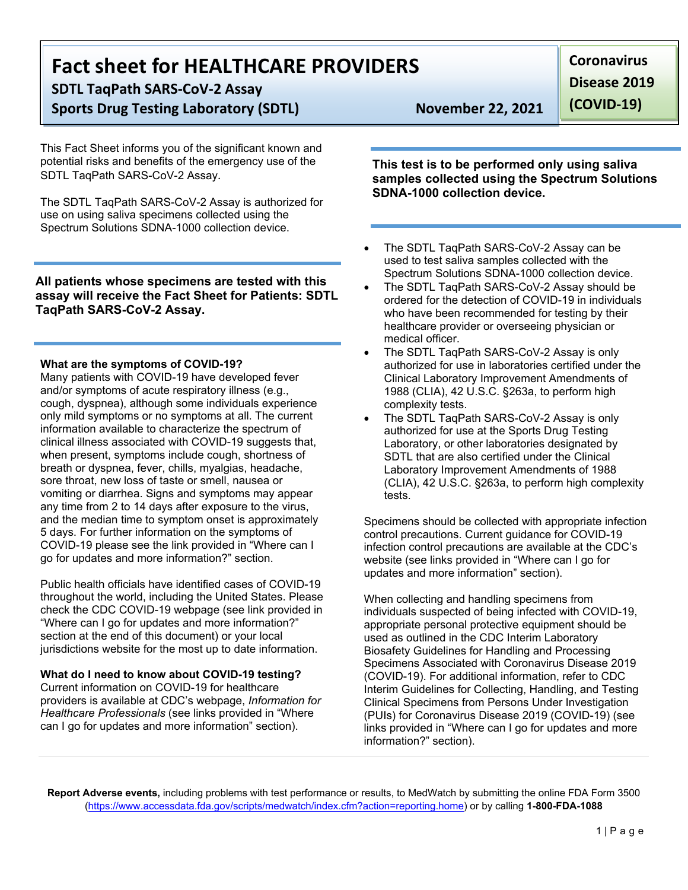# **Fact sheet for HEALTHCARE PROVIDERS**

**SDTL TaqPath SARS-CoV-2 Assay**

**Sports Drug Testing Laboratory (SDTL)** November 22, 2021

This Fact Sheet informs you of the significant known and potential risks and benefits of the emergency use of the SDTL TaqPath SARS-CoV-2 Assay.

The SDTL TaqPath SARS-CoV-2 Assay is authorized for use on using saliva specimens collected using the Spectrum Solutions SDNA-1000 collection device.

**All patients whose specimens are tested with this assay will receive the Fact Sheet for Patients: SDTL TaqPath SARS-CoV-2 Assay.**

#### **What are the symptoms of COVID-19?**

Many patients with COVID-19 have developed fever and/or symptoms of acute respiratory illness (e.g., cough, dyspnea), although some individuals experience only mild symptoms or no symptoms at all. The current information available to characterize the spectrum of clinical illness associated with COVID-19 suggests that, when present, symptoms include cough, shortness of breath or dyspnea, fever, chills, myalgias, headache, sore throat, new loss of taste or smell, nausea or vomiting or diarrhea. Signs and symptoms may appear any time from 2 to 14 days after exposure to the virus, and the median time to symptom onset is approximately 5 days. For further information on the symptoms of COVID-19 please see the link provided in "Where can I go for updates and more information?" section.

Public health officials have identified cases of COVID-19 throughout the world, including the United States. Please check the CDC COVID-19 webpage (see link provided in "Where can I go for updates and more information?" section at the end of this document) or your local jurisdictions website for the most up to date information.

### **What do I need to know about COVID-19 testing?**

Current information on COVID-19 for healthcare providers is available at CDC's webpage, *Information for Healthcare Professionals* (see links provided in "Where can I go for updates and more information" section).

**Disease 2019** 

**(COVID-19)**

**Coronavirus** 

**This test is to be performed only using saliva samples collected using the Spectrum Solutions SDNA-1000 collection device.**

- The SDTL TaqPath SARS-CoV-2 Assay can be used to test saliva samples collected with the Spectrum Solutions SDNA-1000 collection device.
- The SDTL TaqPath SARS-CoV-2 Assay should be ordered for the detection of COVID-19 in individuals who have been recommended for testing by their healthcare provider or overseeing physician or medical officer.
- The SDTL TaqPath SARS-CoV-2 Assay is only authorized for use in laboratories certified under the Clinical Laboratory Improvement Amendments of 1988 (CLIA), 42 U.S.C. §263a, to perform high complexity tests.
- The SDTL TaqPath SARS-CoV-2 Assay is only authorized for use at the Sports Drug Testing Laboratory, or other laboratories designated by SDTL that are also certified under the Clinical Laboratory Improvement Amendments of 1988 (CLIA), 42 U.S.C. §263a, to perform high complexity tests.

Specimens should be collected with appropriate infection control precautions. Current guidance for COVID-19 infection control precautions are available at the CDC's website (see links provided in "Where can I go for updates and more information" section).

When collecting and handling specimens from individuals suspected of being infected with COVID-19, appropriate personal protective equipment should be used as outlined in the CDC Interim Laboratory Biosafety Guidelines for Handling and Processing Specimens Associated with Coronavirus Disease 2019 (COVID-19). For additional information, refer to CDC Interim Guidelines for Collecting, Handling, and Testing Clinical Specimens from Persons Under Investigation (PUIs) for Coronavirus Disease 2019 (COVID-19) (see links provided in "Where can I go for updates and more information?" section).

**Report Adverse events,** including problems with test performance or results, to MedWatch by submitting the online FDA Form 3500 ([https://www.accessdata.fda.gov/scripts/medwatch/index.cfm?action=reporting.home\)](https://www.accessdata.fda.gov/scripts/medwatch/index.cfm?action=reporting.home) or by calling **1-800-FDA-1088**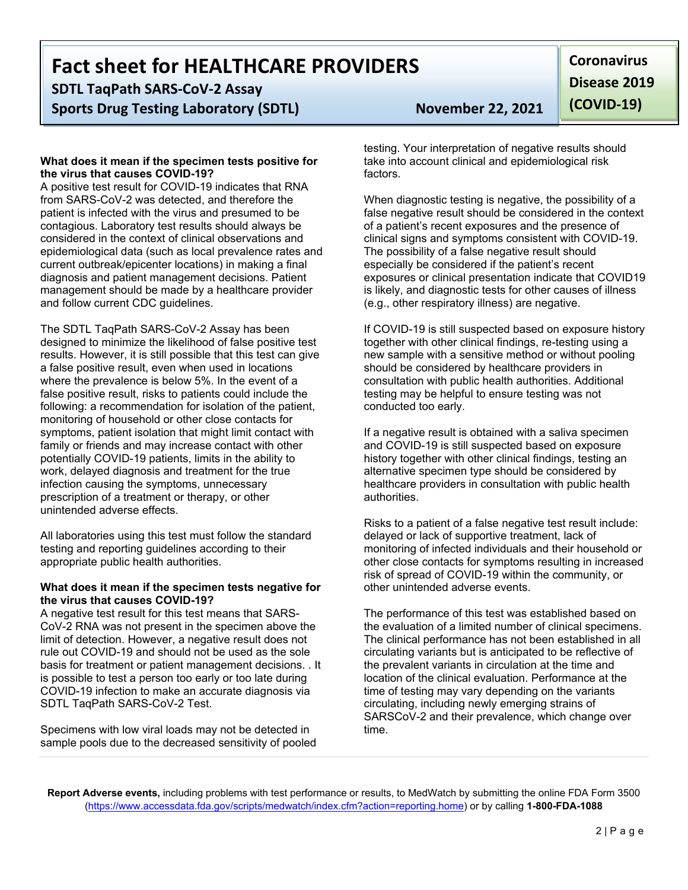## **Fact sheet for HEALTHCARE PROVIDERS**

**SDTL TaqPath SARS-CoV-2 Assay Sports Drug Testing Laboratory (SDTL)** November 22, 2021

#### **What does it mean if the specimen tests positive for the virus that causes COVID-19?**

A positive test result for COVID-19 indicates that RNA from SARS-CoV-2 was detected, and therefore the patient is infected with the virus and presumed to be contagious. Laboratory test results should always be considered in the context of clinical observations and epidemiological data (such as local prevalence rates and current outbreak/epicenter locations) in making a final diagnosis and patient management decisions. Patient management should be made by a healthcare provider and follow current CDC guidelines.

The SDTL TaqPath SARS-CoV-2 Assay has been designed to minimize the likelihood of false positive test results. However, it is still possible that this test can give a false positive result, even when used in locations where the prevalence is below 5%. In the event of a false positive result, risks to patients could include the following: a recommendation for isolation of the patient, monitoring of household or other close contacts for symptoms, patient isolation that might limit contact with family or friends and may increase contact with other potentially COVID-19 patients, limits in the ability to work, delayed diagnosis and treatment for the true infection causing the symptoms, unnecessary prescription of a treatment or therapy, or other unintended adverse effects.

All laboratories using this test must follow the standard testing and reporting guidelines according to their appropriate public health authorities.

#### **What does it mean if the specimen tests negative for the virus that causes COVID-19?**

A negative test result for this test means that SARS-CoV-2 RNA was not present in the specimen above the limit of detection. However, a negative result does not rule out COVID-19 and should not be used as the sole basis for treatment or patient management decisions. . It is possible to test a person too early or too late during COVID-19 infection to make an accurate diagnosis via SDTL TaqPath SARS-CoV-2 Test.

Specimens with low viral loads may not be detected in sample pools due to the decreased sensitivity of pooled

**Coronavirus Disease 2019 (COVID-19)**

testing. Your interpretation of negative results should take into account clinical and epidemiological risk factors.

When diagnostic testing is negative, the possibility of a false negative result should be considered in the context of a patient's recent exposures and the presence of clinical signs and symptoms consistent with COVID-19. The possibility of a false negative result should especially be considered if the patient's recent exposures or clinical presentation indicate that COVID19 is likely, and diagnostic tests for other causes of illness (e.g., other respiratory illness) are negative.

If COVID-19 is still suspected based on exposure history together with other clinical findings, re-testing using a new sample with a sensitive method or without pooling should be considered by healthcare providers in consultation with public health authorities. Additional testing may be helpful to ensure testing was not conducted too early.

If a negative result is obtained with a saliva specimen and COVID-19 is still suspected based on exposure history together with other clinical findings, testing an alternative specimen type should be considered by healthcare providers in consultation with public health authorities.

Risks to a patient of a false negative test result include: delayed or lack of supportive treatment, lack of monitoring of infected individuals and their household or other close contacts for symptoms resulting in increased risk of spread of COVID-19 within the community, or other unintended adverse events.

The performance of this test was established based on the evaluation of a limited number of clinical specimens. The clinical performance has not been established in all circulating variants but is anticipated to be reflective of the prevalent variants in circulation at the time and location of the clinical evaluation. Performance at the time of testing may vary depending on the variants circulating, including newly emerging strains of SARSCoV-2 and their prevalence, which change over time.

**Report Adverse events,** including problems with test performance or results, to MedWatch by submitting the online FDA Form 3500 ([https://www.accessdata.fda.gov/scripts/medwatch/index.cfm?action=reporting.home\)](https://www.accessdata.fda.gov/scripts/medwatch/index.cfm?action=reporting.home) or by calling **1-800-FDA-1088**